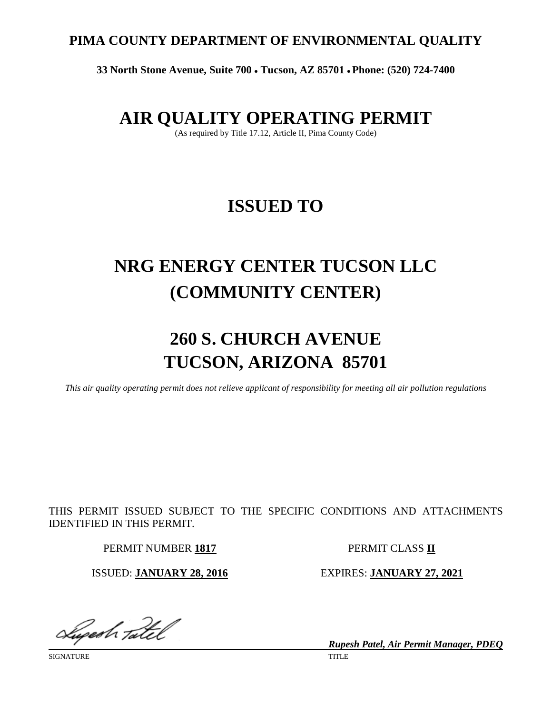# **PIMA COUNTY DEPARTMENT OF ENVIRONMENTAL QUALITY**

**33 North Stone Avenue, Suite 700** • **Tucson, AZ 85701** • **Phone: (520) 724-7400**

# **AIR QUALITY OPERATING PERMIT**

(As required by Title 17.12, Article II, Pima County Code)

# **ISSUED TO**

# **NRG ENERGY CENTER TUCSON LLC (COMMUNITY CENTER)**

# **260 S. CHURCH AVENUE TUCSON, ARIZONA 85701**

*This air quality operating permit does not relieve applicant of responsibility for meeting all air pollution regulations*

THIS PERMIT ISSUED SUBJECT TO THE SPECIFIC CONDITIONS AND ATTACHMENTS IDENTIFIED IN THIS PERMIT.

PERMIT NUMBER **1817** PERMIT CLASS **II**

ISSUED: **JANUARY 28, 2016** EXPIRES: **JANUARY 27, 2021**

Lugesh Tatel

SIGNATURE TITLE

*Rupesh Patel, Air Permit Manager, PDEQ*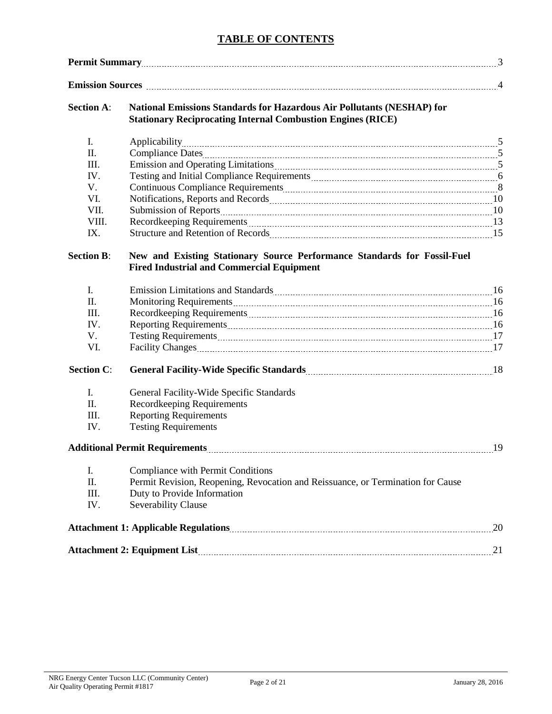# **TABLE OF CONTENTS**

|                   | <b>Permit Summary</b> 3                                                                                                                                                                                                        |    |  |  |  |  |
|-------------------|--------------------------------------------------------------------------------------------------------------------------------------------------------------------------------------------------------------------------------|----|--|--|--|--|
|                   | Emission Sources <b>Manual According to the Contract Contract According to the Contract Occurs</b> 24                                                                                                                          |    |  |  |  |  |
| <b>Section A:</b> | National Emissions Standards for Hazardous Air Pollutants (NESHAP) for<br><b>Stationary Reciprocating Internal Combustion Engines (RICE)</b>                                                                                   |    |  |  |  |  |
| I.                |                                                                                                                                                                                                                                |    |  |  |  |  |
| Π.                |                                                                                                                                                                                                                                |    |  |  |  |  |
| III.              | Emission and Operating Limitations [100] March 2014 (100) March 2014 (100) March 2014 (100) March 2014 (100) March 2014 (100) March 2014 (100) March 2014 (100) March 2014 (100) March 2014 (100) March 2014 (100) March 2014  |    |  |  |  |  |
| IV.               | Testing and Initial Compliance Requirements [111] [12] Testing and Initial Compliance Requirements [11] [12] Testing and Initial Compliance Requirements [11] [12] Testing and Initial Compliance Requirements [12] Testing an |    |  |  |  |  |
| V.                |                                                                                                                                                                                                                                |    |  |  |  |  |
| VI.               |                                                                                                                                                                                                                                |    |  |  |  |  |
| VII.              |                                                                                                                                                                                                                                |    |  |  |  |  |
| VIII.             |                                                                                                                                                                                                                                |    |  |  |  |  |
| IX.               |                                                                                                                                                                                                                                |    |  |  |  |  |
| <b>Section B:</b> | New and Existing Stationary Source Performance Standards for Fossil-Fuel<br><b>Fired Industrial and Commercial Equipment</b>                                                                                                   |    |  |  |  |  |
| I.                | Emission Limitations and Standards Material Communications and Standards Material Communications and Standards                                                                                                                 |    |  |  |  |  |
| Π.                |                                                                                                                                                                                                                                |    |  |  |  |  |
| III.              |                                                                                                                                                                                                                                |    |  |  |  |  |
| IV.               |                                                                                                                                                                                                                                |    |  |  |  |  |
| V.                |                                                                                                                                                                                                                                |    |  |  |  |  |
| VI.               | Facility Changes 17                                                                                                                                                                                                            |    |  |  |  |  |
| <b>Section C:</b> |                                                                                                                                                                                                                                |    |  |  |  |  |
| I.                | General Facility-Wide Specific Standards                                                                                                                                                                                       |    |  |  |  |  |
| Π.                | <b>Recordkeeping Requirements</b>                                                                                                                                                                                              |    |  |  |  |  |
| III.              | <b>Reporting Requirements</b>                                                                                                                                                                                                  |    |  |  |  |  |
| IV.               | <b>Testing Requirements</b>                                                                                                                                                                                                    |    |  |  |  |  |
|                   |                                                                                                                                                                                                                                | 19 |  |  |  |  |
| I.                | Compliance with Permit Conditions                                                                                                                                                                                              |    |  |  |  |  |
| Π.                | Permit Revision, Reopening, Revocation and Reissuance, or Termination for Cause                                                                                                                                                |    |  |  |  |  |
| III.              | Duty to Provide Information                                                                                                                                                                                                    |    |  |  |  |  |
| IV.               | Severability Clause                                                                                                                                                                                                            |    |  |  |  |  |
|                   |                                                                                                                                                                                                                                | 20 |  |  |  |  |
|                   |                                                                                                                                                                                                                                | 21 |  |  |  |  |
|                   |                                                                                                                                                                                                                                |    |  |  |  |  |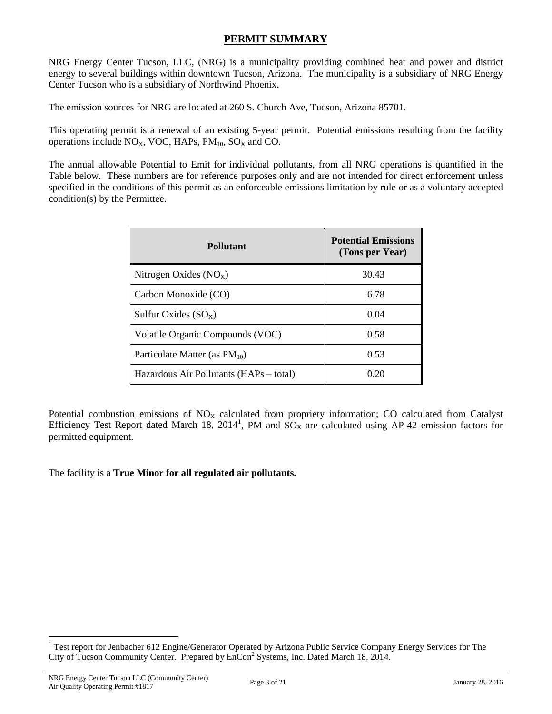# **PERMIT SUMMARY**

NRG Energy Center Tucson, LLC, (NRG) is a municipality providing combined heat and power and district energy to several buildings within downtown Tucson, Arizona. The municipality is a subsidiary of NRG Energy Center Tucson who is a subsidiary of Northwind Phoenix.

The emission sources for NRG are located at 260 S. Church Ave, Tucson, Arizona 85701.

This operating permit is a renewal of an existing 5-year permit. Potential emissions resulting from the facility operations include  $NO<sub>X</sub>$ , VOC, HAPs,  $PM<sub>10</sub>$ , SO<sub>X</sub> and CO.

The annual allowable Potential to Emit for individual pollutants, from all NRG operations is quantified in the Table below. These numbers are for reference purposes only and are not intended for direct enforcement unless specified in the conditions of this permit as an enforceable emissions limitation by rule or as a voluntary accepted condition(s) by the Permittee.

| <b>Pollutant</b>                        | <b>Potential Emissions</b><br>(Tons per Year) |
|-----------------------------------------|-----------------------------------------------|
| Nitrogen Oxides $(NOx)$                 | 30.43                                         |
| Carbon Monoxide (CO)                    | 6.78                                          |
| Sulfur Oxides $(SO_X)$                  | 0.04                                          |
| Volatile Organic Compounds (VOC)        | 0.58                                          |
| Particulate Matter (as $PM_{10}$ )      | 0.53                                          |
| Hazardous Air Pollutants (HAPs – total) | 0.20                                          |

Potential combustion emissions of  $NO<sub>X</sub>$  calculated from propriety information; CO calculated from Catalyst Efficiency Test Report dated March [1](#page-2-0)8, 2014<sup>1</sup>, PM and  $\overline{SO}_X$  are calculated using AP-42 emission factors for permitted equipment.

The facility is a **True Minor for all regulated air pollutants.**

<span id="page-2-0"></span><sup>&</sup>lt;sup>1</sup> Test report for Jenbacher 612 Engine/Generator Operated by Arizona Public Service Company Energy Services for The City of Tucson Community Center. Prepared by EnCon<sup>2</sup> Systems, Inc. Dated March 18, 2014.  $\overline{a}$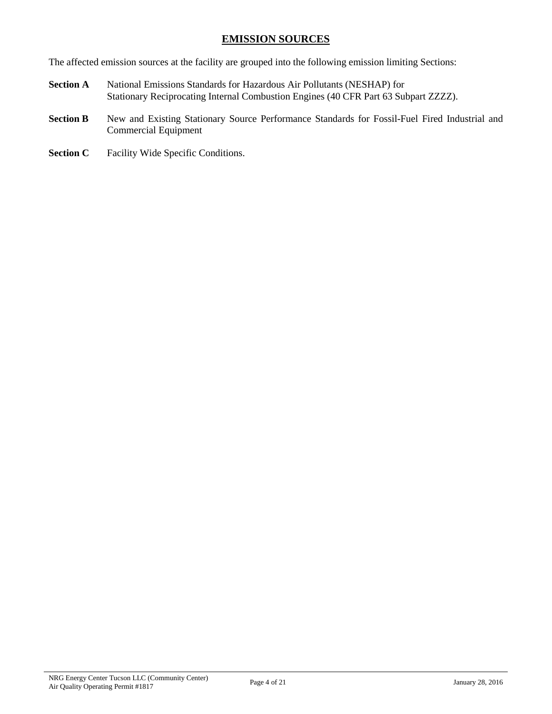# **EMISSION SOURCES**

The affected emission sources at the facility are grouped into the following emission limiting Sections:

- **Section A** National Emissions Standards for Hazardous Air Pollutants (NESHAP) for Stationary Reciprocating Internal Combustion Engines (40 CFR Part 63 Subpart ZZZZ).
- Section B New and Existing Stationary Source Performance Standards for Fossil-Fuel Fired Industrial and Commercial Equipment
- **Section C** Facility Wide Specific Conditions.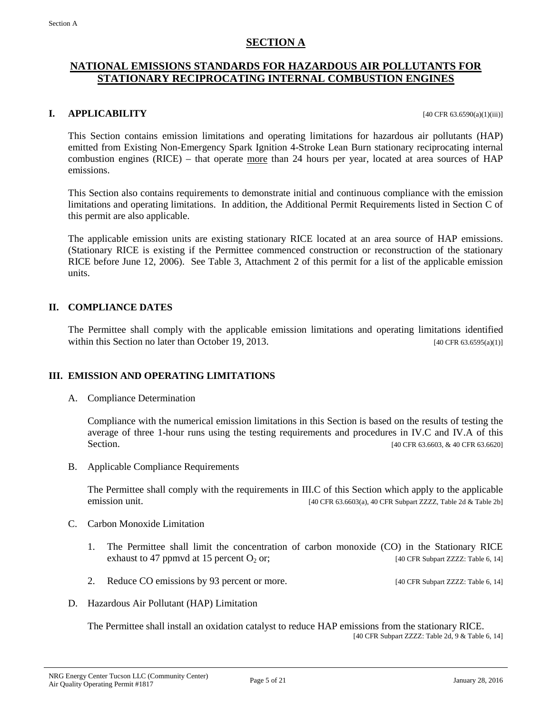### **SECTION A**

# **NATIONAL EMISSIONS STANDARDS FOR HAZARDOUS AIR POLLUTANTS FOR STATIONARY RECIPROCATING INTERNAL COMBUSTION ENGINES**

### **I. APPLICABILITY** [40 CFR 63.6590(a)(1)(iii)]

This Section contains emission limitations and operating limitations for hazardous air pollutants (HAP) emitted from Existing Non-Emergency Spark Ignition 4-Stroke Lean Burn stationary reciprocating internal combustion engines (RICE) – that operate more than 24 hours per year, located at area sources of HAP emissions.

This Section also contains requirements to demonstrate initial and continuous compliance with the emission limitations and operating limitations. In addition, the Additional Permit Requirements listed in Section C of this permit are also applicable.

The applicable emission units are existing stationary RICE located at an area source of HAP emissions. (Stationary RICE is existing if the Permittee commenced construction or reconstruction of the stationary RICE before June 12, 2006). See Table 3, Attachment 2 of this permit for a list of the applicable emission units.

### **II. COMPLIANCE DATES**

The Permittee shall comply with the applicable emission limitations and operating limitations identified within this Section no later than October 19, 2013.  $[40 \text{ CFR } 63.6595(a)(1)]$ 

### **III. EMISSION AND OPERATING LIMITATIONS**

A. Compliance Determination

Compliance with the numerical emission limitations in this Section is based on the results of testing the average of three 1-hour runs using the testing requirements and procedures in IV.C and IV.A of this Section. [40 CFR 63.6603, & 40 CFR 63.6603]

B. Applicable Compliance Requirements

The Permittee shall comply with the requirements in III.C of this Section which apply to the applicable emission unit. [40 CFR 63.6603(a), 40 CFR Subpart ZZZZ, Table 2d & Table 2b]

- C. Carbon Monoxide Limitation
	- 1. The Permittee shall limit the concentration of carbon monoxide (CO) in the Stationary RICE exhaust to 47 ppmvd at 15 percent  $O_2$  or; [40 CFR Subpart ZZZZ: Table 6, 14]
	- 2. Reduce CO emissions by 93 percent or more. [40 CFR Subpart ZZZZ: Table 6, 14]
- D. Hazardous Air Pollutant (HAP) Limitation

The Permittee shall install an oxidation catalyst to reduce HAP emissions from the stationary RICE. [40 CFR Subpart ZZZZ: Table  $2d$ , 9 & Table 6, 14]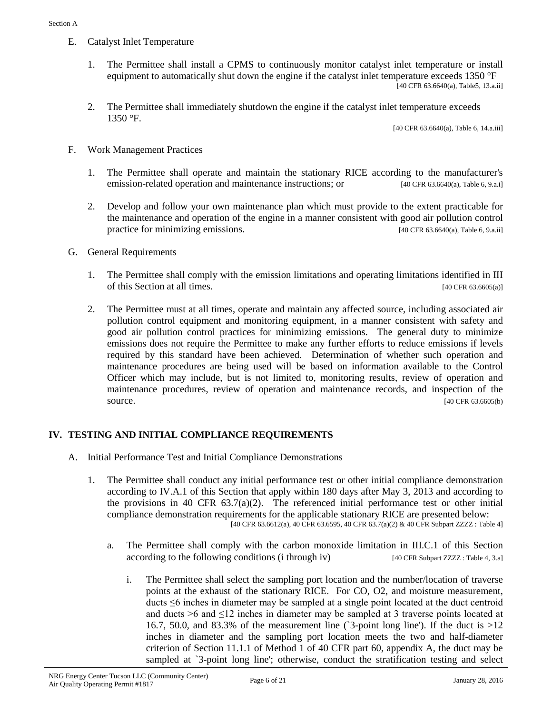- E. Catalyst Inlet Temperature
	- 1. The Permittee shall install a CPMS to continuously monitor catalyst inlet temperature or install equipment to automatically shut down the engine if the catalyst inlet temperature exceeds 1350 °F  $[40 \text{ CFR } 63.6640(a), \text{Table5}, 13.a.ii]$
	- 2. The Permittee shall immediately shutdown the engine if the catalyst inlet temperature exceeds 1350 °F.

[40 CFR 63.6640(a), Table 6, 14.a.iii]

- F. Work Management Practices
	- 1. The Permittee shall operate and maintain the stationary RICE according to the manufacturer's emission-related operation and maintenance instructions; or [40 CFR 63.6640(a), Table 6, 9.a.i]
	- 2. Develop and follow your own maintenance plan which must provide to the extent practicable for the maintenance and operation of the engine in a manner consistent with good air pollution control practice for minimizing emissions. [40 CFR 63.6640(a), Table 6, 9.a.ii]
- G. General Requirements
	- 1. The Permittee shall comply with the emission limitations and operating limitations identified in III of this Section at all times. [40 CFR 63.6605(a)]
	- 2. The Permittee must at all times, operate and maintain any affected source, including associated air pollution control equipment and monitoring equipment, in a manner consistent with safety and good air pollution control practices for minimizing emissions. The general duty to minimize emissions does not require the Permittee to make any further efforts to reduce emissions if levels required by this standard have been achieved. Determination of whether such operation and maintenance procedures are being used will be based on information available to the Control Officer which may include, but is not limited to, monitoring results, review of operation and maintenance procedures, review of operation and maintenance records, and inspection of the source. [40 CFR 63.6605(b)

#### **IV. TESTING AND INITIAL COMPLIANCE REQUIREMENTS**

- A. Initial Performance Test and Initial Compliance Demonstrations
	- 1. The Permittee shall conduct any initial performance test or other initial compliance demonstration according to IV.A.1 of this Section that apply within 180 days after May 3, 2013 and according to the provisions in 40 CFR  $63.7(a)(2)$ . The referenced initial performance test or other initial compliance demonstration requirements for the applicable stationary RICE are presented below: [40 CFR 63.6612(a), 40 CFR 63.6595, 40 CFR 63.7(a)(2) & 40 CFR Subpart ZZZZ : Table 4]
		- a. The Permittee shall comply with the carbon monoxide limitation in III.C.1 of this Section according to the following conditions (i through iv) [40 CFR Subpart ZZZZ : Table 4, 3.a]
			- i. The Permittee shall select the sampling port location and the number/location of traverse points at the exhaust of the stationary RICE. For CO, O2, and moisture measurement, ducts ≤6 inches in diameter may be sampled at a single point located at the duct centroid and ducts  $>6$  and  $\leq 12$  inches in diameter may be sampled at 3 traverse points located at 16.7, 50.0, and 83.3% of the measurement line ( $\hat{ }$ 3-point long line'). If the duct is  $>12$ inches in diameter and the sampling port location meets the two and half-diameter criterion of Section 11.1.1 of Method 1 of 40 CFR part 60, appendix A, the duct may be sampled at `3-point long line'; otherwise, conduct the stratification testing and select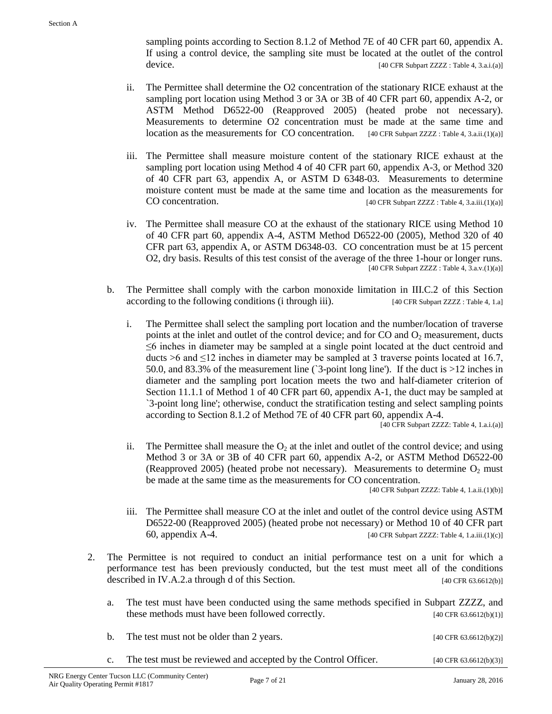sampling points according to Section 8.1.2 of Method 7E of 40 CFR part 60, appendix A. If using a control device, the sampling site must be located at the outlet of the control device. [40 CFR Subpart ZZZZ : Table 4, 3.a.i.(a)]

- ii. The Permittee shall determine the O2 concentration of the stationary RICE exhaust at the sampling port location using Method 3 or 3A or 3B of 40 CFR part 60, appendix A-2, or ASTM Method D6522-00 (Reapproved 2005) (heated probe not necessary). Measurements to determine O2 concentration must be made at the same time and location as the measurements for CO concentration. [40 CFR Subpart ZZZZ : Table 4, 3.a.ii.(1)(a)]
- iii. The Permittee shall measure moisture content of the stationary RICE exhaust at the sampling port location using Method 4 of 40 CFR part 60, appendix A-3, or Method 320 of 40 CFR part 63, appendix A, or ASTM D 6348-03. Measurements to determine moisture content must be made at the same time and location as the measurements for CO concentration. [40 CFR Subpart ZZZZ : Table 4, 3.a.iii.(1)(a)]
- iv. The Permittee shall measure CO at the exhaust of the stationary RICE using Method 10 of 40 CFR part 60, appendix A-4, ASTM Method D6522-00 (2005), Method 320 of 40 CFR part 63, appendix A, or ASTM D6348-03. CO concentration must be at 15 percent O2, dry basis. Results of this test consist of the average of the three 1-hour or longer runs. [40 CFR Subpart ZZZZ : Table  $4$ ,  $3$ .a.v. $(1)(a)$ ]
- b. The Permittee shall comply with the carbon monoxide limitation in III.C.2 of this Section according to the following conditions (i through iii). [40 CFR Subpart ZZZZ : Table 4, 1.a]
	- i. The Permittee shall select the sampling port location and the number/location of traverse points at the inlet and outlet of the control device; and for  $CO$  and  $O<sub>2</sub>$  measurement, ducts ≤6 inches in diameter may be sampled at a single point located at the duct centroid and ducts >6 and  $\leq 12$  inches in diameter may be sampled at 3 traverse points located at 16.7, 50.0, and 83.3% of the measurement line (`3-point long line'). If the duct is >12 inches in diameter and the sampling port location meets the two and half-diameter criterion of Section 11.1.1 of Method 1 of 40 CFR part 60, appendix A-1, the duct may be sampled at `3-point long line'; otherwise, conduct the stratification testing and select sampling points according to Section 8.1.2 of Method 7E of 40 CFR part 60, appendix A-4.

[40 CFR Subpart ZZZZ: Table 4, 1.a.i.(a)]

ii. The Permittee shall measure the  $O_2$  at the inlet and outlet of the control device; and using Method 3 or 3A or 3B of 40 CFR part 60, appendix A-2, or ASTM Method D6522-00 (Reapproved 2005) (heated probe not necessary). Measurements to determine  $O_2$  must be made at the same time as the measurements for CO concentration.

[40 CFR Subpart ZZZZ: Table 4, 1.a.ii.(1)(b)]

- iii. The Permittee shall measure CO at the inlet and outlet of the control device using ASTM D6522-00 (Reapproved 2005) (heated probe not necessary) or Method 10 of 40 CFR part 60, appendix A-4. [40 CFR Subpart ZZZZ: Table 4, 1.a.iii.(1)(c)]
- 2. The Permittee is not required to conduct an initial performance test on a unit for which a performance test has been previously conducted, but the test must meet all of the conditions described in IV.A.2.a through d of this Section. [40 CFR 63.6612(b)]
	- a. The test must have been conducted using the same methods specified in Subpart ZZZZ, and these methods must have been followed correctly. [40 CFR 63.6612(b)(1)]
	- b. The test must not be older than 2 years.  $[40 \text{ CFR } 63.6612(b)(2)]$ c. The test must be reviewed and accepted by the Control Officer. [40 CFR 63.6612(b)(3)]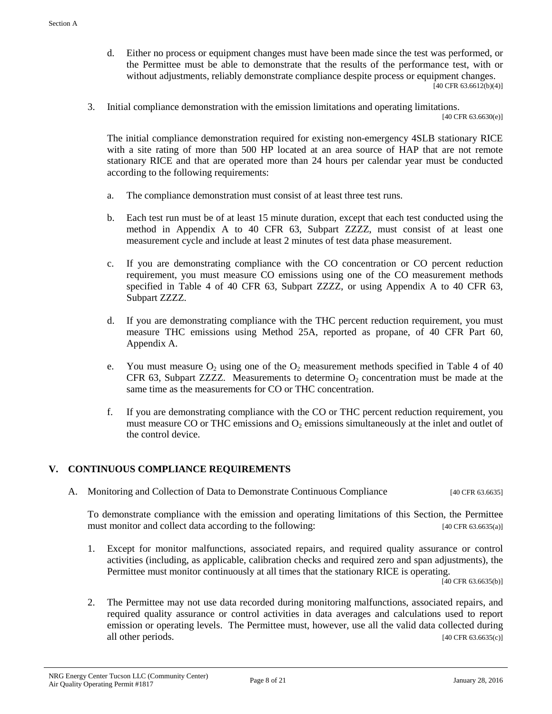- d. Either no process or equipment changes must have been made since the test was performed, or the Permittee must be able to demonstrate that the results of the performance test, with or without adjustments, reliably demonstrate compliance despite process or equipment changes.  $[40 \text{ CFR } 63.6612(b)(4)]$
- 3. Initial compliance demonstration with the emission limitations and operating limitations.

[40 CFR 63.6630(e)]

The initial compliance demonstration required for existing non-emergency 4SLB stationary RICE with a site rating of more than 500 HP located at an area source of HAP that are not remote stationary RICE and that are operated more than 24 hours per calendar year must be conducted according to the following requirements:

- a. The compliance demonstration must consist of at least three test runs.
- b. Each test run must be of at least 15 minute duration, except that each test conducted using the method in Appendix A to 40 CFR 63, Subpart ZZZZ, must consist of at least one measurement cycle and include at least 2 minutes of test data phase measurement.
- c. If you are demonstrating compliance with the CO concentration or CO percent reduction requirement, you must measure CO emissions using one of the CO measurement methods specified in Table 4 of 40 CFR 63, Subpart ZZZZ, or using Appendix A to 40 CFR 63, Subpart ZZZZ.
- d. If you are demonstrating compliance with the THC percent reduction requirement, you must measure THC emissions using Method 25A, reported as propane, of 40 CFR Part 60, Appendix A.
- e. You must measure  $O_2$  using one of the  $O_2$  measurement methods specified in Table 4 of 40 CFR 63, Subpart ZZZZ. Measurements to determine  $O_2$  concentration must be made at the same time as the measurements for CO or THC concentration.
- f. If you are demonstrating compliance with the CO or THC percent reduction requirement, you must measure CO or THC emissions and  $O<sub>2</sub>$  emissions simultaneously at the inlet and outlet of the control device.

#### **V. CONTINUOUS COMPLIANCE REQUIREMENTS**

A. Monitoring and Collection of Data to Demonstrate Continuous Compliance [40 CFR 63.6635]

To demonstrate compliance with the emission and operating limitations of this Section, the Permittee must monitor and collect data according to the following: [40 CFR 63.6635(a)]

1. Except for monitor malfunctions, associated repairs, and required quality assurance or control activities (including, as applicable, calibration checks and required zero and span adjustments), the Permittee must monitor continuously at all times that the stationary RICE is operating.

 $[40 \text{ CFR } 63.6635(b)]$ 

2. The Permittee may not use data recorded during monitoring malfunctions, associated repairs, and required quality assurance or control activities in data averages and calculations used to report emission or operating levels. The Permittee must, however, use all the valid data collected during all other periods. [40 CFR 63.6635(c)]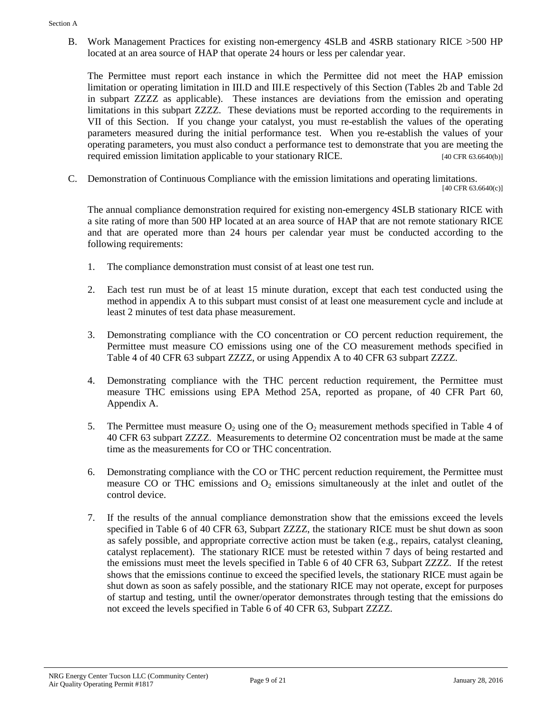B. Work Management Practices for existing non-emergency 4SLB and 4SRB stationary RICE >500 HP located at an area source of HAP that operate 24 hours or less per calendar year.

The Permittee must report each instance in which the Permittee did not meet the HAP emission limitation or operating limitation in III.D and III.E respectively of this Section (Tables 2b and Table 2d in subpart ZZZZ as applicable). These instances are deviations from the emission and operating limitations in this subpart ZZZZ. These deviations must be reported according to the requirements in VII of this Section. If you change your catalyst, you must re-establish the values of the operating parameters measured during the initial performance test. When you re-establish the values of your operating parameters, you must also conduct a performance test to demonstrate that you are meeting the required emission limitation applicable to your stationary RICE. [40 CFR 63.6640(b)]

C. Demonstration of Continuous Compliance with the emission limitations and operating limitations. [40 CFR 63.6640(c)]

The annual compliance demonstration required for existing non-emergency 4SLB stationary RICE with a site rating of more than 500 HP located at an area source of HAP that are not remote stationary RICE and that are operated more than 24 hours per calendar year must be conducted according to the following requirements:

- 1. The compliance demonstration must consist of at least one test run.
- 2. Each test run must be of at least 15 minute duration, except that each test conducted using the method in appendix A to this subpart must consist of at least one measurement cycle and include at least 2 minutes of test data phase measurement.
- 3. Demonstrating compliance with the CO concentration or CO percent reduction requirement, the Permittee must measure CO emissions using one of the CO measurement methods specified in Table 4 of 40 CFR 63 subpart ZZZZ, or using Appendix A to 40 CFR 63 subpart ZZZZ.
- 4. Demonstrating compliance with the THC percent reduction requirement, the Permittee must measure THC emissions using EPA Method 25A, reported as propane, of 40 CFR Part 60, Appendix A.
- 5. The Permittee must measure  $O_2$  using one of the  $O_2$  measurement methods specified in Table 4 of 40 CFR 63 subpart ZZZZ. Measurements to determine O2 concentration must be made at the same time as the measurements for CO or THC concentration.
- 6. Demonstrating compliance with the CO or THC percent reduction requirement, the Permittee must measure CO or THC emissions and  $O_2$  emissions simultaneously at the inlet and outlet of the control device.
- 7. If the results of the annual compliance demonstration show that the emissions exceed the levels specified in Table 6 of 40 CFR 63, Subpart ZZZZ, the stationary RICE must be shut down as soon as safely possible, and appropriate corrective action must be taken (e.g., repairs, catalyst cleaning, catalyst replacement). The stationary RICE must be retested within 7 days of being restarted and the emissions must meet the levels specified in Table 6 of 40 CFR 63, Subpart ZZZZ. If the retest shows that the emissions continue to exceed the specified levels, the stationary RICE must again be shut down as soon as safely possible, and the stationary RICE may not operate, except for purposes of startup and testing, until the owner/operator demonstrates through testing that the emissions do not exceed the levels specified in Table 6 of 40 CFR 63, Subpart ZZZZ.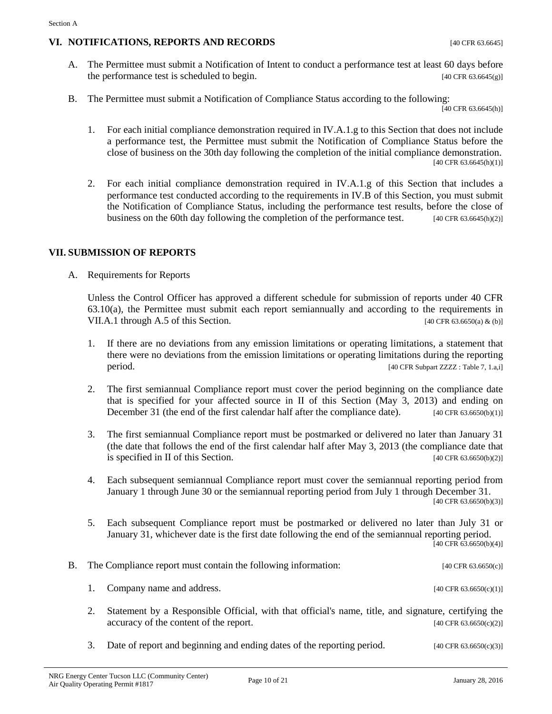#### **VI. NOTIFICATIONS, REPORTS AND RECORDS** [40 CFR 63.6645]

- A. The Permittee must submit a Notification of Intent to conduct a performance test at least 60 days before the performance test is scheduled to begin. [40 CFR 63.6645(g)]
- B. The Permittee must submit a Notification of Compliance Status according to the following:

 $[40 \text{ CFR } 63.6645 \text{ (h)}]$ 

- 1. For each initial compliance demonstration required in IV.A.1.g to this Section that does not include a performance test, the Permittee must submit the Notification of Compliance Status before the close of business on the 30th day following the completion of the initial compliance demonstration. [40 CFR 63.6645(h)(1)]
- 2. For each initial compliance demonstration required in IV.A.1.g of this Section that includes a performance test conducted according to the requirements in IV.B of this Section, you must submit the Notification of Compliance Status, including the performance test results, before the close of business on the 60th day following the completion of the performance test. [40 CFR 63.6645(h)(2)]

#### **VII. SUBMISSION OF REPORTS**

A. Requirements for Reports

Unless the Control Officer has approved a different schedule for submission of reports under 40 CFR 63.10(a), the Permittee must submit each report semiannually and according to the requirements in VII.A.1 through A.5 of this Section. [40 CFR 63.6650(a) & (b)]

- 1. If there are no deviations from any emission limitations or operating limitations, a statement that there were no deviations from the emission limitations or operating limitations during the reporting period. [40 CFR Subpart ZZZZ : Table 7, 1.a,i]
- 2. The first semiannual Compliance report must cover the period beginning on the compliance date that is specified for your affected source in II of this Section (May 3, 2013) and ending on December 31 (the end of the first calendar half after the compliance date). [40 CFR 63.6650(b)(1)]
- 3. The first semiannual Compliance report must be postmarked or delivered no later than January 31 (the date that follows the end of the first calendar half after May 3, 2013 (the compliance date that is specified in II of this Section.  $[40 \text{ CFR } 63.6650(b)(2)]$ is specified in II of this Section.
- 4. Each subsequent semiannual Compliance report must cover the semiannual reporting period from January 1 through June 30 or the semiannual reporting period from July 1 through December 31.

[40 CFR 63.6650(b)(3)]

5. Each subsequent Compliance report must be postmarked or delivered no later than July 31 or January 31, whichever date is the first date following the end of the semiannual reporting period.  $[40 \text{ CFR } 63.6650(b)(4)]$ 

| B. The Compliance report must contain the following information: | [40 CFR 63.6650(c)] |
|------------------------------------------------------------------|---------------------|
|                                                                  |                     |

2. Statement by a Responsible Official, with that official's name, title, and signature, certifying the  $\text{accuracy of the content of the report.}$  [40 CFR 63.6650(c)(2)]

1. Company name and address. [40 CFR 63.6650(c)(1)]

3. Date of report and beginning and ending dates of the reporting period.  $[40 \text{ CFR } 63.6650(c)(3)]$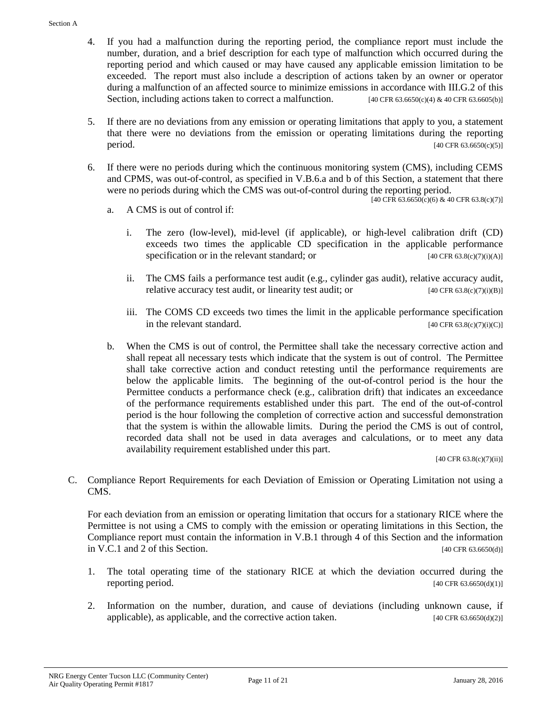- 4. If you had a malfunction during the reporting period, the compliance report must include the number, duration, and a brief description for each type of malfunction which occurred during the reporting period and which caused or may have caused any applicable emission limitation to be exceeded. The report must also include a description of actions taken by an owner or operator during a malfunction of an affected source to minimize emissions in accordance with III.G.2 of this Section, including actions taken to correct a malfunction. [40 CFR 63.6650(c)(4) & 40 CFR 63.6605(b)]
- 5. If there are no deviations from any emission or operating limitations that apply to you, a statement that there were no deviations from the emission or operating limitations during the reporting  $period.$  [40 CFR 63.6650(c)(5)]
- 6. If there were no periods during which the continuous monitoring system (CMS), including CEMS and CPMS, was out-of-control, as specified in V.B.6.a and b of this Section, a statement that there were no periods during which the CMS was out-of-control during the reporting period.

 $[40 \text{ CFR } 63.6650 \text{ (c)} (6) \& 40 \text{ CFR } 63.8 \text{ (c)} (7)]$ 

- a. A CMS is out of control if:
	- i. The zero (low-level), mid-level (if applicable), or high-level calibration drift (CD) exceeds two times the applicable CD specification in the applicable performance specification or in the relevant standard; or  $[40 \text{ CFR } 63.8(c)(7)(i)(A)]$
	- ii. The CMS fails a performance test audit (e.g., cylinder gas audit), relative accuracy audit, relative accuracy test audit, or linearity test audit; or  $[40 \text{ CFR } 63.8(c)(7)(i)B)]$
	- iii. The COMS CD exceeds two times the limit in the applicable performance specification in the relevant standard.  $[40 \text{ CFR } 63.8(c)(7)(i)(C)]$
- b. When the CMS is out of control, the Permittee shall take the necessary corrective action and shall repeat all necessary tests which indicate that the system is out of control. The Permittee shall take corrective action and conduct retesting until the performance requirements are below the applicable limits. The beginning of the out-of-control period is the hour the Permittee conducts a performance check (e.g., calibration drift) that indicates an exceedance of the performance requirements established under this part. The end of the out-of-control period is the hour following the completion of corrective action and successful demonstration that the system is within the allowable limits. During the period the CMS is out of control, recorded data shall not be used in data averages and calculations, or to meet any data availability requirement established under this part.

 $[40 \text{ CFR } 63.8(c)(7)(ii)]$ 

C. Compliance Report Requirements for each Deviation of Emission or Operating Limitation not using a CMS.

For each deviation from an emission or operating limitation that occurs for a stationary RICE where the Permittee is not using a CMS to comply with the emission or operating limitations in this Section, the Compliance report must contain the information in V.B.1 through 4 of this Section and the information in V.C.1 and 2 of this Section.  $[40 \text{ CFR } 63.6650(d)]$ 

- 1. The total operating time of the stationary RICE at which the deviation occurred during the reporting period.  $[40 \text{ CFR } 63.6650(d)(1)]$
- 2. Information on the number, duration, and cause of deviations (including unknown cause, if applicable), as applicable, and the corrective action taken.  $[40 \text{ CFR } 63.6650(d)(2)]$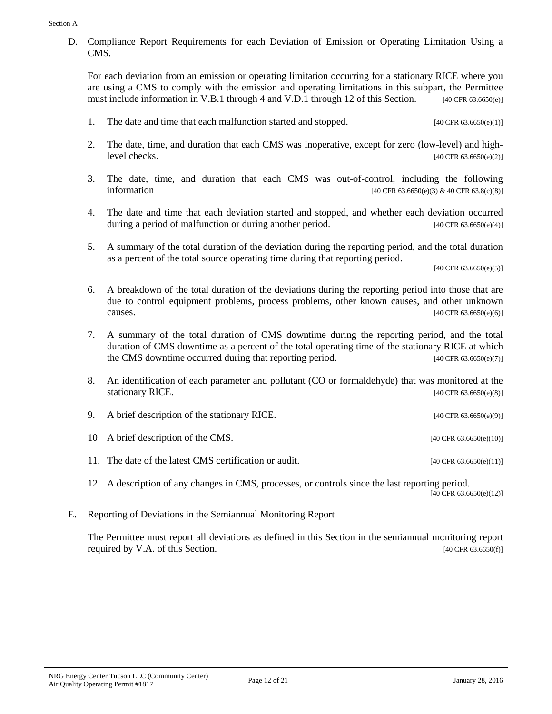D. Compliance Report Requirements for each Deviation of Emission or Operating Limitation Using a CMS.

For each deviation from an emission or operating limitation occurring for a stationary RICE where you are using a CMS to comply with the emission and operating limitations in this subpart, the Permittee must include information in V.B.1 through 4 and V.D.1 through 12 of this Section. [40 CFR 63.6650(e)]

- 1. The date and time that each malfunction started and stopped. [40 CFR 63.6650(e)(1)]
- 2. The date, time, and duration that each CMS was inoperative, except for zero (low-level) and high $level \, checks.$  [40 CFR 63.6650(e)(2)]
- 3. The date, time, and duration that each CMS was out-of-control, including the following information  $[40 \text{ CFR } 63.6650 \text{ (e)} (3) \& 40 \text{ CFR } 63.8 \text{ (c)} (8)]$
- 4. The date and time that each deviation started and stopped, and whether each deviation occurred during a period of malfunction or during another period.  $[40 \text{ CFR } 63.6650(e)(4)]$
- 5. A summary of the total duration of the deviation during the reporting period, and the total duration as a percent of the total source operating time during that reporting period.

[40 CFR 63.6650(e)(5)]

- 6. A breakdown of the total duration of the deviations during the reporting period into those that are due to control equipment problems, process problems, other known causes, and other unknown **causes.** [40 CFR 63.6650(e)(6)]
- 7. A summary of the total duration of CMS downtime during the reporting period, and the total duration of CMS downtime as a percent of the total operating time of the stationary RICE at which the CMS downtime occurred during that reporting period. [40 CFR 63.6650(e)(7)]
- 8. An identification of each parameter and pollutant (CO or formaldehyde) that was monitored at the stationary RICE.  $[40 \text{ CFR } 63.6650(e)(8)]$

| 9. A brief description of the stationary RICE.         | [40 CFR $63.6650(e)(9)$ ]  |
|--------------------------------------------------------|----------------------------|
| 10 A brief description of the CMS.                     | [40 CFR $63.6650(e)(10)$ ] |
| 11. The date of the latest CMS certification or audit. | [40 CFR $63.6650(e)(11)$ ] |
|                                                        |                            |

12. A description of any changes in CMS, processes, or controls since the last reporting period. [40 CFR 63.6650(e)(12)]

E. Reporting of Deviations in the Semiannual Monitoring Report

The Permittee must report all deviations as defined in this Section in the semiannual monitoring report required by V.A. of this Section.  $[40 \text{ CF } 63.6650(f)]$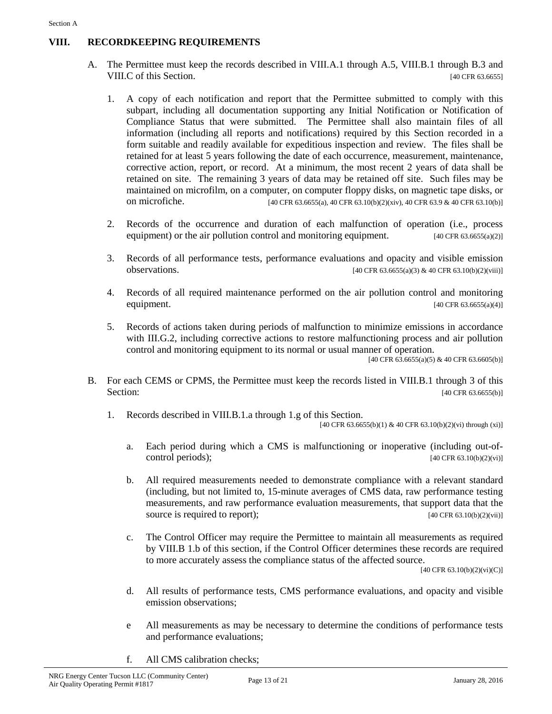### **VIII. RECORDKEEPING REQUIREMENTS**

- A. The Permittee must keep the records described in VIII.A.1 through A.5, VIII.B.1 through B.3 and VIII.C of this Section. [40 CFR 63.6655]
	- 1. A copy of each notification and report that the Permittee submitted to comply with this subpart, including all documentation supporting any Initial Notification or Notification of Compliance Status that were submitted. The Permittee shall also maintain files of all information (including all reports and notifications) required by this Section recorded in a form suitable and readily available for expeditious inspection and review. The files shall be retained for at least 5 years following the date of each occurrence, measurement, maintenance, corrective action, report, or record. At a minimum, the most recent 2 years of data shall be retained on site. The remaining 3 years of data may be retained off site. Such files may be maintained on microfilm, on a computer, on computer floppy disks, on magnetic tape disks, or on microfiche. [40 CFR 63.6655(a), 40 CFR 63.10(b)(2)(xiv), 40 CFR 63.9 & 40 CFR 63.10(b)]
	- 2. Records of the occurrence and duration of each malfunction of operation (i.e., process equipment) or the air pollution control and monitoring equipment.  $[40 \text{ CFR } 63.6655(a/2)]$
	- 3. Records of all performance tests, performance evaluations and opacity and visible emission **observations.** [40 CFR 63.6655(a)(3) & 40 CFR 63.10(b)(2)(viii)]
	- 4. Records of all required maintenance performed on the air pollution control and monitoring equipment. [40 CFR 63.6655(a)(4)]
	- 5. Records of actions taken during periods of malfunction to minimize emissions in accordance with III.G.2, including corrective actions to restore malfunctioning process and air pollution control and monitoring equipment to its normal or usual manner of operation.

 $[40 \text{ CFR } 63.6655(a)(5) \& 40 \text{ CFR } 63.6605(b)]$ 

- B. For each CEMS or CPMS, the Permittee must keep the records listed in VIII.B.1 through 3 of this Section: [40 CFR 63.6655(b)]
	- 1. Records described in VIII.B.1.a through 1.g of this Section.

[40 CFR 63.6655(b)(1) & 40 CFR 63.10(b)(2)(vi) through (xi)]

- a. Each period during which a CMS is malfunctioning or inoperative (including out-ofcontrol periods);  $[40 \text{ CFR } 63.10(b)(2)(vi)]$
- b. All required measurements needed to demonstrate compliance with a relevant standard (including, but not limited to, 15-minute averages of CMS data, raw performance testing measurements, and raw performance evaluation measurements, that support data that the source is required to report); [40 CFR 63.10(b)(2)(vii)]
- c. The Control Officer may require the Permittee to maintain all measurements as required by VIII.B 1.b of this section, if the Control Officer determines these records are required to more accurately assess the compliance status of the affected source.

[40 CFR 63.10(b)(2)(vi)(C)]

- d. All results of performance tests, CMS performance evaluations, and opacity and visible emission observations;
- e All measurements as may be necessary to determine the conditions of performance tests and performance evaluations;
- f. All CMS calibration checks;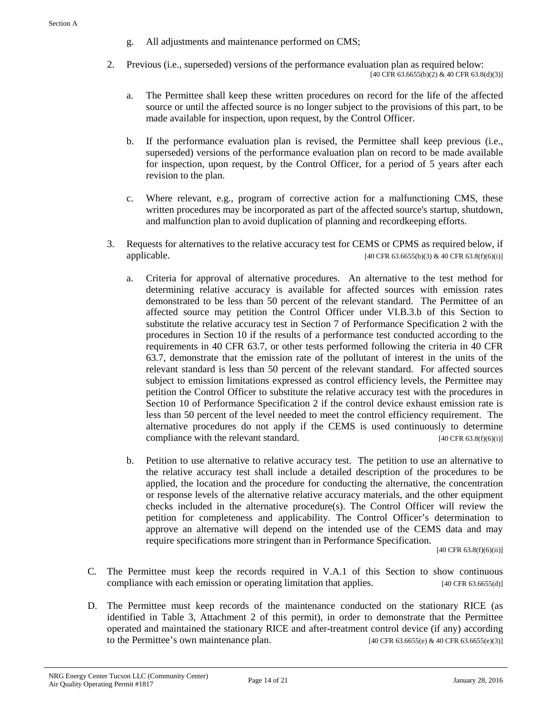- g. All adjustments and maintenance performed on CMS;
- 2. Previous (i.e., superseded) versions of the performance evaluation plan as required below:  $[40 \text{ CFR } 63.6655(b)(2) \& 40 \text{ CFR } 63.8(d)(3)]$ 
	- a. The Permittee shall keep these written procedures on record for the life of the affected source or until the affected source is no longer subject to the provisions of this part, to be made available for inspection, upon request, by the Control Officer.
	- b. If the performance evaluation plan is revised, the Permittee shall keep previous (i.e., superseded) versions of the performance evaluation plan on record to be made available for inspection, upon request, by the Control Officer, for a period of 5 years after each revision to the plan.
	- c. Where relevant, e.g., program of corrective action for a malfunctioning CMS, these written procedures may be incorporated as part of the affected source's startup, shutdown, and malfunction plan to avoid duplication of planning and recordkeeping efforts.
- 3. Requests for alternatives to the relative accuracy test for CEMS or CPMS as required below, if applicable. [40 CFR 63.6655(b)(3) & 40 CFR 63.8(f)(6)(i)]
	- a. Criteria for approval of alternative procedures. An alternative to the test method for determining relative accuracy is available for affected sources with emission rates demonstrated to be less than 50 percent of the relevant standard. The Permittee of an affected source may petition the Control Officer under VI.B.3.b of this Section to substitute the relative accuracy test in Section 7 of Performance Specification 2 with the procedures in Section 10 if the results of a performance test conducted according to the requirements in 40 CFR 63.7, or other tests performed following the criteria in 40 CFR 63.7, demonstrate that the emission rate of the pollutant of interest in the units of the relevant standard is less than 50 percent of the relevant standard. For affected sources subject to emission limitations expressed as control efficiency levels, the Permittee may petition the Control Officer to substitute the relative accuracy test with the procedures in Section 10 of Performance Specification 2 if the control device exhaust emission rate is less than 50 percent of the level needed to meet the control efficiency requirement. The alternative procedures do not apply if the CEMS is used continuously to determine compliance with the relevant standard.  $[40 \text{ CFR } 63.8 \text{ (f)}(6) \text{ (i)}]$
	- b. Petition to use alternative to relative accuracy test. The petition to use an alternative to the relative accuracy test shall include a detailed description of the procedures to be applied, the location and the procedure for conducting the alternative, the concentration or response levels of the alternative relative accuracy materials, and the other equipment checks included in the alternative procedure(s). The Control Officer will review the petition for completeness and applicability. The Control Officer's determination to approve an alternative will depend on the intended use of the CEMS data and may require specifications more stringent than in Performance Specification.

 $[40 \text{ CFR } 63.8(f)(6)(ii)]$ 

- C. The Permittee must keep the records required in V.A.1 of this Section to show continuous compliance with each emission or operating limitation that applies. [40 CFR 63.6655(d)]
- D. The Permittee must keep records of the maintenance conducted on the stationary RICE (as identified in Table 3, Attachment 2 of this permit), in order to demonstrate that the Permittee operated and maintained the stationary RICE and after-treatment control device (if any) according to the Permittee's own maintenance plan.  $[40 \text{ CFR } 63.6655(e) \& 40 \text{ CFR } 63.6655(e)(3)]$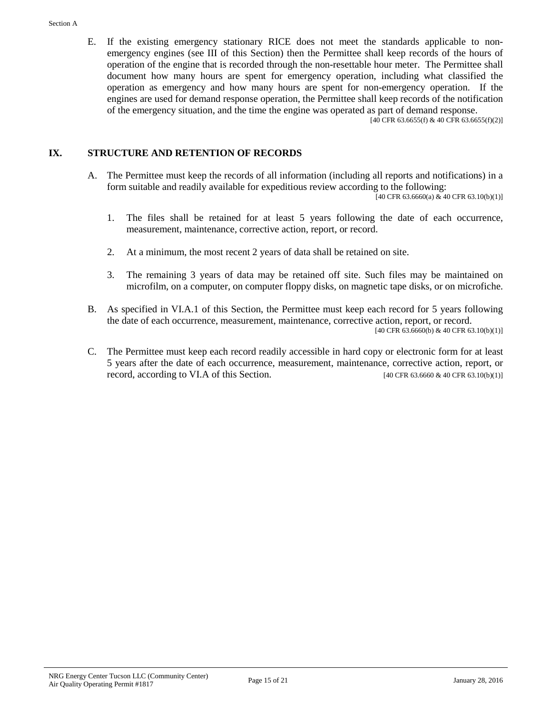E. If the existing emergency stationary RICE does not meet the standards applicable to nonemergency engines (see III of this Section) then the Permittee shall keep records of the hours of operation of the engine that is recorded through the non-resettable hour meter. The Permittee shall document how many hours are spent for emergency operation, including what classified the operation as emergency and how many hours are spent for non-emergency operation. If the engines are used for demand response operation, the Permittee shall keep records of the notification of the emergency situation, and the time the engine was operated as part of demand response.

 $[40 \text{ CFR } 63.6655 \text{ (f)} \& 40 \text{ CFR } 63.6655 \text{ (f)} \text{ (2)}]$ 

#### **IX. STRUCTURE AND RETENTION OF RECORDS**

A. The Permittee must keep the records of all information (including all reports and notifications) in a form suitable and readily available for expeditious review according to the following:

 $[40 \text{ CFR } 63.6660(a) \& 40 \text{ CFR } 63.10(b)(1)]$ 

- 1. The files shall be retained for at least 5 years following the date of each occurrence, measurement, maintenance, corrective action, report, or record.
- 2. At a minimum, the most recent 2 years of data shall be retained on site.
- 3. The remaining 3 years of data may be retained off site. Such files may be maintained on microfilm, on a computer, on computer floppy disks, on magnetic tape disks, or on microfiche.
- B. As specified in VI.A.1 of this Section, the Permittee must keep each record for 5 years following the date of each occurrence, measurement, maintenance, corrective action, report, or record. [40 CFR 63.6660(b) & 40 CFR 63.10(b)(1)]
- C. The Permittee must keep each record readily accessible in hard copy or electronic form for at least 5 years after the date of each occurrence, measurement, maintenance, corrective action, report, or record, according to VI.A of this Section.  $[40 \text{ CFR } 63.6660 \& 40 \text{ CFR } 63.10(b)(1)]$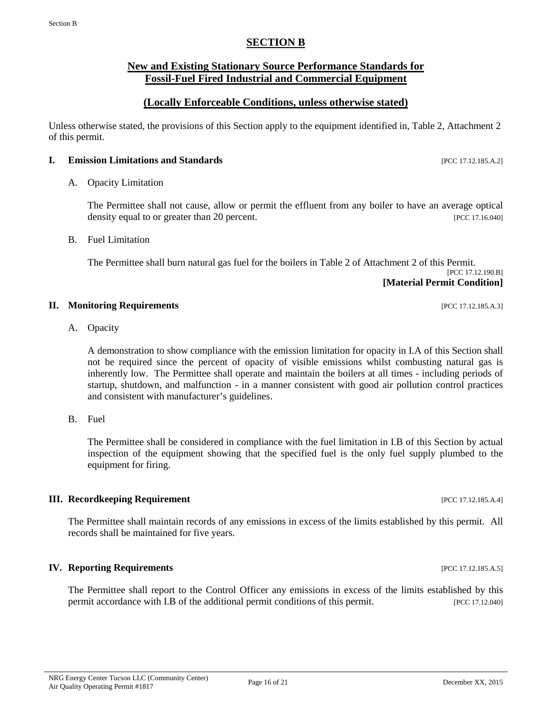### **New and Existing Stationary Source Performance Standards for**

#### **Fossil-Fuel Fired Industrial and Commercial Equipment**

**SECTION B**

#### **(Locally Enforceable Conditions, unless otherwise stated)**

Unless otherwise stated, the provisions of this Section apply to the equipment identified in, Table 2, Attachment 2 of this permit.

#### **I. Emission Limitations and Standards** [PCC 17.12.185.A.2]

#### A. Opacity Limitation

The Permittee shall not cause, allow or permit the effluent from any boiler to have an average optical density equal to or greater than 20 percent. [PCC 17.16.040]

#### B. Fuel Limitation

The Permittee shall burn natural gas fuel for the boilers in Table 2 of Attachment 2 of this Permit. [PCC 17.12.190.B] **[Material Permit Condition]**

#### **II. Monitoring Requirements in the sequence of the sequence of the sequence of the sequence of the sequence of the sequence of the sequence of the sequence of the sequence of the sequence of the sequence of the sequence**

A. Opacity

A demonstration to show compliance with the emission limitation for opacity in I.A of this Section shall not be required since the percent of opacity of visible emissions whilst combusting natural gas is inherently low. The Permittee shall operate and maintain the boilers at all times - including periods of startup, shutdown, and malfunction - in a manner consistent with good air pollution control practices and consistent with manufacturer's guidelines.

B. Fuel

The Permittee shall be considered in compliance with the fuel limitation in I.B of this Section by actual inspection of the equipment showing that the specified fuel is the only fuel supply plumbed to the equipment for firing.

#### **III. Recordkeeping Requirement** *PCC 17.12.185.A.4***]**

The Permittee shall maintain records of any emissions in excess of the limits established by this permit. All records shall be maintained for five years.

#### **IV. Reporting Requirements IPCC 17.12.185.A.5**]

The Permittee shall report to the Control Officer any emissions in excess of the limits established by this permit accordance with I.B of the additional permit conditions of this permit. [PCC 17.12.040]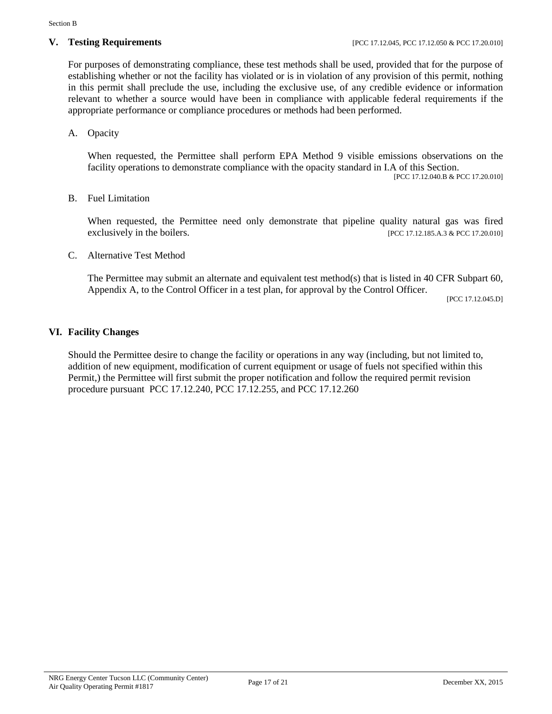For purposes of demonstrating compliance, these test methods shall be used, provided that for the purpose of establishing whether or not the facility has violated or is in violation of any provision of this permit, nothing in this permit shall preclude the use, including the exclusive use, of any credible evidence or information relevant to whether a source would have been in compliance with applicable federal requirements if the appropriate performance or compliance procedures or methods had been performed.

A. Opacity

When requested, the Permittee shall perform EPA Method 9 visible emissions observations on the facility operations to demonstrate compliance with the opacity standard in I.A of this Section.

[PCC 17.12.040.B & PCC 17.20.010]

#### B. Fuel Limitation

When requested, the Permittee need only demonstrate that pipeline quality natural gas was fired exclusively in the boilers. [PCC 17.12.185.A.3 & PCC 17.20.010]

C. Alternative Test Method

The Permittee may submit an alternate and equivalent test method(s) that is listed in 40 CFR Subpart 60, Appendix A, to the Control Officer in a test plan, for approval by the Control Officer.

[PCC 17.12.045.D]

#### **VI. Facility Changes**

Should the Permittee desire to change the facility or operations in any way (including, but not limited to, addition of new equipment, modification of current equipment or usage of fuels not specified within this Permit,) the Permittee will first submit the proper notification and follow the required permit revision procedure pursuant PCC 17.12.240, PCC 17.12.255, and PCC 17.12.260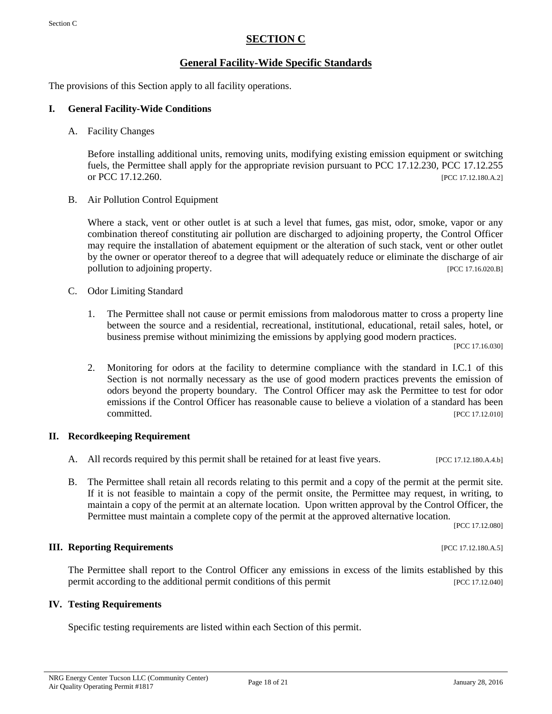# **SECTION C**

# **General Facility-Wide Specific Standards**

The provisions of this Section apply to all facility operations.

#### **I. General Facility-Wide Conditions**

A. Facility Changes

Before installing additional units, removing units, modifying existing emission equipment or switching fuels, the Permittee shall apply for the appropriate revision pursuant to PCC 17.12.230, PCC 17.12.255 or PCC 17.12.260. [PCC 17.12.180.A.2]

B. Air Pollution Control Equipment

Where a stack, vent or other outlet is at such a level that fumes, gas mist, odor, smoke, vapor or any combination thereof constituting air pollution are discharged to adjoining property, the Control Officer may require the installation of abatement equipment or the alteration of such stack, vent or other outlet by the owner or operator thereof to a degree that will adequately reduce or eliminate the discharge of air pollution to adjoining property. [PCC 17.16.020.B]

- C. Odor Limiting Standard
	- 1. The Permittee shall not cause or permit emissions from malodorous matter to cross a property line between the source and a residential, recreational, institutional, educational, retail sales, hotel, or business premise without minimizing the emissions by applying good modern practices.

[PCC 17.16.030]

2. Monitoring for odors at the facility to determine compliance with the standard in I.C.1 of this Section is not normally necessary as the use of good modern practices prevents the emission of odors beyond the property boundary. The Control Officer may ask the Permittee to test for odor emissions if the Control Officer has reasonable cause to believe a violation of a standard has been committed. [PCC 17.12.010]

### **II. Recordkeeping Requirement**

- A. All records required by this permit shall be retained for at least five years. [PCC 17.12.180.A.4.b]
- B. The Permittee shall retain all records relating to this permit and a copy of the permit at the permit site. If it is not feasible to maintain a copy of the permit onsite, the Permittee may request, in writing, to maintain a copy of the permit at an alternate location. Upon written approval by the Control Officer, the Permittee must maintain a complete copy of the permit at the approved alternative location.

[PCC 17.12.080]

#### **III. Reporting Requirements** *PCC 17.12.180.A.5***]**

The Permittee shall report to the Control Officer any emissions in excess of the limits established by this permit according to the additional permit conditions of this permit [PCC 17.12.040]

#### **IV. Testing Requirements**

Specific testing requirements are listed within each Section of this permit.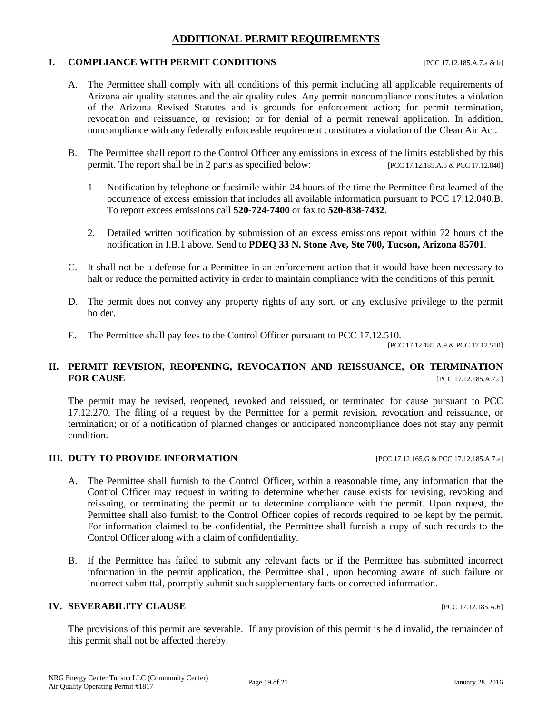# **ADDITIONAL PERMIT REQUIREMENTS**

#### **I. COMPLIANCE WITH PERMIT CONDITIONS** [PCC 17.12.185.A.7.a & b]

- A. The Permittee shall comply with all conditions of this permit including all applicable requirements of Arizona air quality statutes and the air quality rules. Any permit noncompliance constitutes a violation of the Arizona Revised Statutes and is grounds for enforcement action; for permit termination, revocation and reissuance, or revision; or for denial of a permit renewal application. In addition, noncompliance with any federally enforceable requirement constitutes a violation of the Clean Air Act.
- B. The Permittee shall report to the Control Officer any emissions in excess of the limits established by this permit. The report shall be in 2 parts as specified below: [PCC 17.12.185.A.5 & PCC 17.12.040]
	- 1 Notification by telephone or facsimile within 24 hours of the time the Permittee first learned of the occurrence of excess emission that includes all available information pursuant to PCC 17.12.040.B. To report excess emissions call **520-724-7400** or fax to **520-838-7432**.
	- 2. Detailed written notification by submission of an excess emissions report within 72 hours of the notification in I.B.1 above. Send to **PDEQ 33 N. Stone Ave, Ste 700, Tucson, Arizona 85701**.
- C. It shall not be a defense for a Permittee in an enforcement action that it would have been necessary to halt or reduce the permitted activity in order to maintain compliance with the conditions of this permit.
- D. The permit does not convey any property rights of any sort, or any exclusive privilege to the permit holder.
- E. The Permittee shall pay fees to the Control Officer pursuant to PCC 17.12.510.

[PCC 17.12.185.A.9 & PCC 17.12.510]

#### **II. PERMIT REVISION, REOPENING, REVOCATION AND REISSUANCE, OR TERMINATION FOR CAUSE FOR CAUSE** [PCC 17.12.185.A.7.c]

The permit may be revised, reopened, revoked and reissued, or terminated for cause pursuant to PCC 17.12.270. The filing of a request by the Permittee for a permit revision, revocation and reissuance, or termination; or of a notification of planned changes or anticipated noncompliance does not stay any permit condition.

#### **III. DUTY TO PROVIDE INFORMATION** [PCC 17.12.165.G & PCC 17.12.185.A.7.e]

- A. The Permittee shall furnish to the Control Officer, within a reasonable time, any information that the Control Officer may request in writing to determine whether cause exists for revising, revoking and reissuing, or terminating the permit or to determine compliance with the permit. Upon request, the Permittee shall also furnish to the Control Officer copies of records required to be kept by the permit. For information claimed to be confidential, the Permittee shall furnish a copy of such records to the Control Officer along with a claim of confidentiality.
- B. If the Permittee has failed to submit any relevant facts or if the Permittee has submitted incorrect information in the permit application, the Permittee shall, upon becoming aware of such failure or incorrect submittal, promptly submit such supplementary facts or corrected information.

#### **IV. SEVERABILITY CLAUSE IV. SEVERABILITY CLAUSE**

The provisions of this permit are severable. If any provision of this permit is held invalid, the remainder of this permit shall not be affected thereby.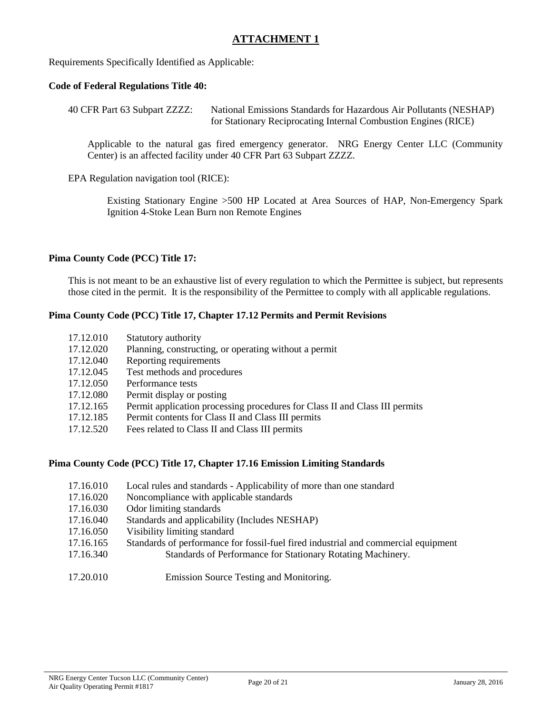# **ATTACHMENT 1**

Requirements Specifically Identified as Applicable:

#### **Code of Federal Regulations Title 40:**

40 CFR Part 63 Subpart ZZZZ: National Emissions Standards for Hazardous Air Pollutants (NESHAP) for Stationary Reciprocating Internal Combustion Engines (RICE)

Applicable to the natural gas fired emergency generator. NRG Energy Center LLC (Community Center) is an affected facility under 40 CFR Part 63 Subpart ZZZZ.

EPA Regulation navigation tool (RICE):

Existing Stationary Engine >500 HP Located at Area Sources of HAP, Non-Emergency Spark Ignition 4-Stoke Lean Burn non Remote Engines

#### **Pima County Code (PCC) Title 17:**

This is not meant to be an exhaustive list of every regulation to which the Permittee is subject, but represents those cited in the permit. It is the responsibility of the Permittee to comply with all applicable regulations.

#### **Pima County Code (PCC) Title 17, Chapter 17.12 Permits and Permit Revisions**

| 17.12.010 | Statutory authority                                                         |
|-----------|-----------------------------------------------------------------------------|
| 17.12.020 | Planning, constructing, or operating without a permit                       |
| 17.12.040 | Reporting requirements                                                      |
| 17.12.045 | Test methods and procedures                                                 |
| 17.12.050 | Performance tests                                                           |
| 17.12.080 | Permit display or posting                                                   |
| 17.12.165 | Permit application processing procedures for Class II and Class III permits |
| 17.12.185 | Permit contents for Class II and Class III permits                          |
| 17.12.520 | Fees related to Class II and Class III permits                              |

#### **Pima County Code (PCC) Title 17, Chapter 17.16 Emission Limiting Standards**

- 17.16.010 Local rules and standards Applicability of more than one standard
- 17.16.020 Noncompliance with applicable standards
- 17.16.030 Odor limiting standards
- 17.16.040 Standards and applicability (Includes NESHAP)
- 17.16.050 Visibility limiting standard
- 17.16.165 Standards of performance for fossil-fuel fired industrial and commercial equipment
- 17.16.340 Standards of Performance for Stationary Rotating Machinery.

17.20.010 Emission Source Testing and Monitoring.